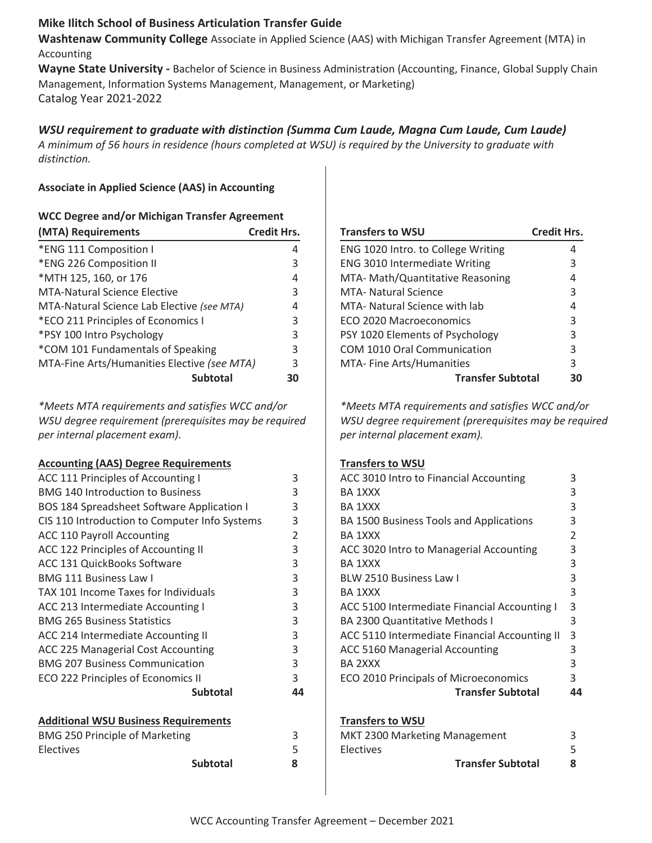## **Mike Ilitch School of Business Articulation Transfer Guide**

**Washtenaw Community College** Associate in Applied Science (AAS) with Michigan Transfer Agreement (MTA) in Accounting

**Wayne State University -** Bachelor of Science in Business Administration (Accounting, Finance, Global Supply Chain Management, Information Systems Management, Management, or Marketing) Catalog Year 2021-2022

# *WSU requirement to graduate with distinction (Summa Cum Laude, Magna Cum Laude, Cum Laude)*

*A minimum of 56 hours in residence (hours completed at WSU) is required by the University to graduate with distinction.* 

### **Associate in Applied Science (AAS) in Accounting**

| <b>WCC Degree and/or Michigan Transfer Agreement</b> |                    |  |
|------------------------------------------------------|--------------------|--|
| (MTA) Requirements                                   | <b>Credit Hrs.</b> |  |
| *ENG 111 Composition I                               | 4                  |  |
| *ENG 226 Composition II                              | 3                  |  |
| *MTH 125, 160, or 176                                | 4                  |  |
| <b>MTA-Natural Science Elective</b>                  | 3                  |  |
| MTA-Natural Science Lab Elective (see MTA)           | 4                  |  |
| *ECO 211 Principles of Economics I                   | 3                  |  |
| *PSY 100 Intro Psychology                            | 3                  |  |
| *COM 101 Fundamentals of Speaking                    | 3                  |  |
| MTA-Fine Arts/Humanities Elective (see MTA)          | 3                  |  |
| <b>Subtotal</b>                                      |                    |  |

*\*Meets MTA requirements and satisfies WCC and/or WSU degree requirement (prerequisites may be required per internal placement exam).*

### **Accounting (AAS) Degree Requirements**

| ACC 111 Principles of Accounting I                | 3  |
|---------------------------------------------------|----|
| <b>BMG 140 Introduction to Business</b>           | 3  |
| <b>BOS 184 Spreadsheet Software Application I</b> | 3  |
| CIS 110 Introduction to Computer Info Systems     | 3  |
| <b>ACC 110 Payroll Accounting</b>                 | 2  |
| ACC 122 Principles of Accounting II               | 3  |
| ACC 131 QuickBooks Software                       | 3  |
| <b>BMG 111 Business Law I</b>                     | 3  |
| TAX 101 Income Taxes for Individuals              | 3  |
| ACC 213 Intermediate Accounting I                 | 3  |
| <b>BMG 265 Business Statistics</b>                | 3  |
| ACC 214 Intermediate Accounting II                | 3  |
| <b>ACC 225 Managerial Cost Accounting</b>         | 3  |
| <b>BMG 207 Business Communication</b>             | 3  |
| ECO 222 Principles of Economics II                | 3  |
| Subtotal                                          | 44 |
|                                                   |    |

# **Additional WSU Business Requirements**

| <b>BMG 250 Principle of Marketing</b> |  |
|---------------------------------------|--|
| <b>Electives</b>                      |  |
| Subtotal                              |  |

| <b>Transfers to WSU</b>              | <b>Credit Hrs.</b> |
|--------------------------------------|--------------------|
| ENG 1020 Intro. to College Writing   | 4                  |
| <b>ENG 3010 Intermediate Writing</b> | 3                  |
| MTA- Math/Quantitative Reasoning     | 4                  |
| <b>MTA- Natural Science</b>          | 3                  |
| MTA- Natural Science with lab        | 4                  |
| ECO 2020 Macroeconomics              | 3                  |
| PSY 1020 Elements of Psychology      | 3                  |
| COM 1010 Oral Communication          | 3                  |
| MTA- Fine Arts/Humanities            | 3                  |
| <b>Transfer Subtotal</b>             |                    |

*\*Meets MTA requirements and satisfies WCC and/or WSU degree requirement (prerequisites may be required per internal placement exam).*

### **Transfers to WSU**

| ACC 3010 Intro to Financial Accounting        | 3              |
|-----------------------------------------------|----------------|
| <b>BA 1XXX</b>                                | 3              |
| <b>BA 1XXX</b>                                | 3              |
| BA 1500 Business Tools and Applications       | 3              |
| BA 1XXX                                       | $\overline{2}$ |
| ACC 3020 Intro to Managerial Accounting       | 3              |
| BA 1XXX                                       | 3              |
| <b>BLW 2510 Business Law I</b>                | 3              |
| BA 1XXX                                       | 3              |
| ACC 5100 Intermediate Financial Accounting I  | 3              |
| <b>BA 2300 Quantitative Methods I</b>         | 3              |
| ACC 5110 Intermediate Financial Accounting II | 3              |
| <b>ACC 5160 Managerial Accounting</b>         | 3              |
| BA 2XXX                                       | 3              |
| ECO 2010 Principals of Microeconomics         | 3              |
| <b>Transfer Subtotal</b>                      | 44             |
|                                               |                |
| <b>Transfers to WSU</b>                       |                |
| MKT 2300 Marketing Management                 | 3              |
| Electives                                     | 5              |

**Transfer Subtotal 8**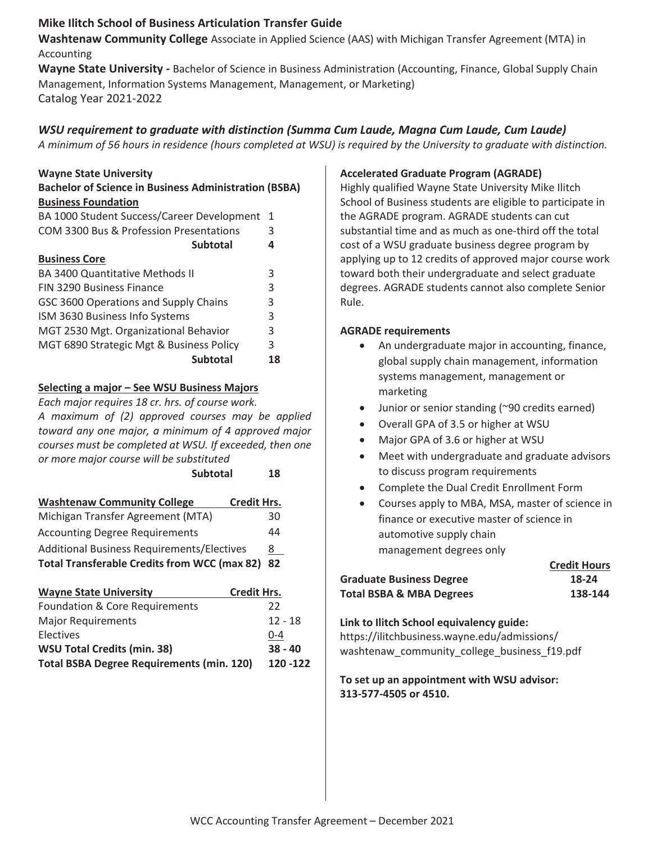## **Mike Ilitch School of Business Articulation Transfer Guide**

**Washtenaw Community College** Associate in Applied Science (AAS) with Michigan Transfer Agreement (MTA) in Accounting

**Wayne State University -** Bachelor of Science in Business Administration (Accounting, Finance, Global Supply Chain Management, Information Systems Management, Management, or Marketing) Catalog Year 2021-2022

# *WSU requirement to graduate with distinction (Summa Cum Laude, Magna Cum Laude, Cum Laude)*

*A minimum of 56 hours in residence (hours completed at WSU) is required by the University to graduate with distinction.* 

## **Wayne State University**

| <b>Bachelor of Science in Business Administration (BSBA)</b> |   |  |
|--------------------------------------------------------------|---|--|
| <b>Business Foundation</b>                                   |   |  |
| BA 1000 Student Success/Career Development 1                 |   |  |
| COM 3300 Bus & Profession Presentations                      | 3 |  |
| <b>Subtotal</b>                                              | 4 |  |
| <b>Business Core</b>                                         |   |  |

| <b>Subtotal</b>                          | 18 |
|------------------------------------------|----|
| MGT 6890 Strategic Mgt & Business Policy | 3  |
| MGT 2530 Mgt. Organizational Behavior    | 3  |
| ISM 3630 Business Info Systems           | 3  |
| GSC 3600 Operations and Supply Chains    | 3  |
| FIN 3290 Business Finance                | 3  |
| BA 3400 Quantitative Methods II          | 3  |

### **Selecting a major – See WSU Business Majors**

*Each major requires 18 cr. hrs. of course work. A maximum of (2) approved courses may be applied toward any one major, a minimum of 4 approved major courses must be completed at WSU. If exceeded, then one or more major course will be substituted*

| <b>Subtotal</b>                                     | 18                 |
|-----------------------------------------------------|--------------------|
| <b>Washtenaw Community College</b>                  | <b>Credit Hrs.</b> |
| Michigan Transfer Agreement (MTA)                   | 30                 |
| <b>Accounting Degree Requirements</b>               | 44                 |
| <b>Additional Business Requirements/Electives</b>   | 8.                 |
| <b>Total Transferable Credits from WCC (max 82)</b> | 82                 |

| <b>Wayne State University</b>                    | <b>Credit Hrs.</b> |
|--------------------------------------------------|--------------------|
| Foundation & Core Requirements                   | 22                 |
| <b>Major Requirements</b>                        | $12 - 18$          |
| Electives                                        | $0 - 4$            |
| <b>WSU Total Credits (min. 38)</b>               | $38 - 40$          |
| <b>Total BSBA Degree Requirements (min. 120)</b> | 120 - 122          |

### **Accelerated Graduate Program (AGRADE)**

Highly qualified Wayne State University Mike Ilitch School of Business students are eligible to participate in the AGRADE program. AGRADE students can cut substantial time and as much as one-third off the total cost of a WSU graduate business degree program by applying up to 12 credits of approved major course work toward both their undergraduate and select graduate degrees. AGRADE students cannot also complete Senior Rule.

### **AGRADE requirements**

- An undergraduate major in accounting, finance, global supply chain management, information systems management, management or marketing
- $\bullet$  Junior or senior standing (~90 credits earned)
- Overall GPA of 3.5 or higher at WSU
- Major GPA of 3.6 or higher at WSU
- Meet with undergraduate and graduate advisors to discuss program requirements
- Complete the Dual Credit Enrollment Form
- Courses apply to MBA, MSA, master of science in finance or executive master of science in automotive supply chain management degrees only

| <b>Credit Hours</b> |
|---------------------|
| 18-24               |
| 138-144             |
|                     |

### **Link to Ilitch School equivalency guide:**

https://ilitchbusiness.wayne.edu/admissions/ washtenaw community college business f19.pdf

**To set up an appointment with WSU advisor: 313-577-4505 or 4510.**